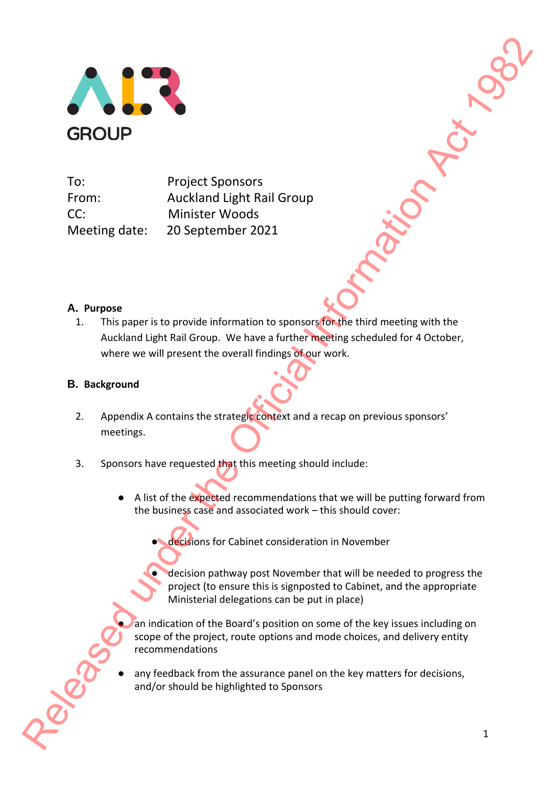

To: Project Sponsors From: Auckland Light Rail Group CC: Minister Woods Meeting date: 20 September 2021

## **A. Purpose**

1. This paper is to provide information to sponsors for the third meeting with the Auckland Light Rail Group. We have a further meeting scheduled for 4 October, where we will present the overall findings of our work. Release the Official International Distribution of the Office of Control International Information C.<br>
A Purpose C. Minister Woods Months (C) and C) and C) and C) and C (C) and C) and C (C) and C (C) and C (C) and C) and C

### **B. Background**

- 2. Appendix A contains the strategic context and a recap on previous sponsors' meetings.
- 3. Sponsors have requested that this meeting should include:
	- A list of the expected recommendations that we will be putting forward from the business case and associated work – this should cover:
		- decisions for Cabinet consideration in November
		- decision pathway post November that will be needed to progress the project (to ensure this is signposted to Cabinet, and the appropriate Ministerial delegations can be put in place)

an indication of the Board's position on some of the key issues including on scope of the project, route options and mode choices, and delivery entity recommendations

any feedback from the assurance panel on the key matters for decisions, and/or should be highlighted to Sponsors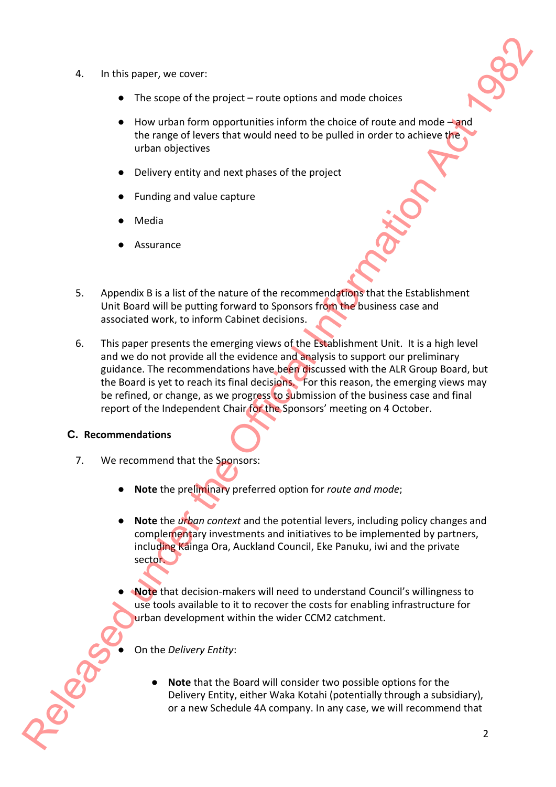- 4. In this paper, we cover:
	- $\bullet$  The scope of the project route options and mode choices
	- $\bullet$  How urban form opportunities inform the choice of route and mode  $-\text{and}$ the range of levers that would need to be pulled in order to achieve the urban objectives
	- Delivery entity and next phases of the project
	- Funding and value capture
	- **Media**
	- **Assurance**
- 5. Appendix B is a list of the nature of the recommendations that the Establishment Unit Board will be putting forward to Sponsors from the business case and associated work, to inform Cabinet decisions.
- 6. This paper presents the emerging views of the Establishment Unit. It is a high level and we do not provide all the evidence and analysis to support our preliminary guidance. The recommendations have been discussed with the ALR Group Board, but the Board is yet to reach its final decisions. For this reason, the emerging views may be refined, or change, as we progress to submission of the business case and final report of the Independent Chair for the Sponsors' meeting on 4 October. 4. In this paper, we cover:<br>
The scope of the project – route options and mode choices<br>
the vurban form opportunities inform the choice of route and model-world<br>
the analogo linear Shake column of the Official Informatio

### **C. Recommendations**

- 7. We recommend that the Sponsors:
	- **Note** the preliminary preferred option for *route and mode*;
	- Note the *urban context* and the potential levers, including policy changes and complementary investments and initiatives to be implemented by partners, including Kāinga Ora, Auckland Council, Eke Panuku, iwi and the private sector<sup>.</sup>
	- **Note** that decision-makers will need to understand Council's willingness to use tools available to it to recover the costs for enabling infrastructure for urban development within the wider CCM2 catchment.

● On the *Delivery Entity*:

**Note** that the Board will consider two possible options for the Delivery Entity, either Waka Kotahi (potentially through a subsidiary), or a new Schedule 4A company. In any case, we will recommend that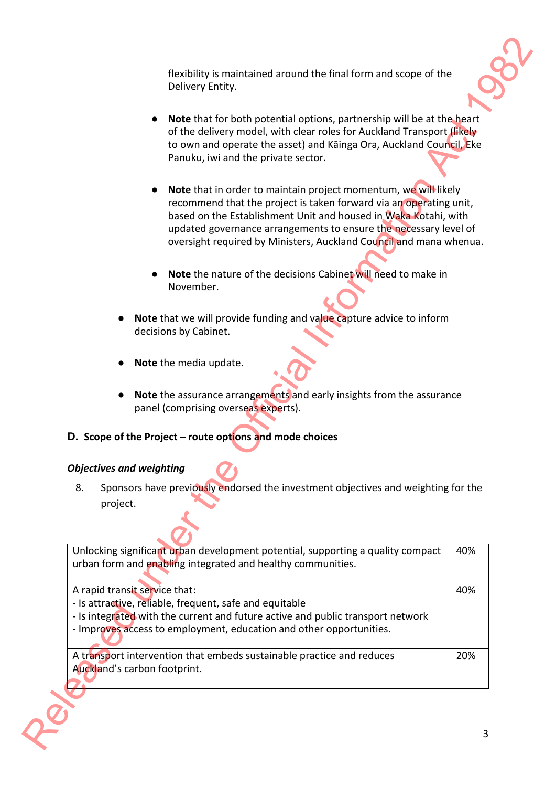- **Note** that for both potential options, partnership will be at the heart of the delivery model, with clear roles for Auckland Transport (likely to own and operate the asset) and Kāinga Ora, Auckland Council, Eke Panuku, iwi and the private sector.
- **Note** that in order to maintain project momentum, we will likely recommend that the project is taken forward via an operating unit, based on the Establishment Unit and housed in Waka Kotahi, with updated governance arrangements to ensure the necessary level of oversight required by Ministers, Auckland Council and mana whenua.
- **Note** the nature of the decisions Cabinet will need to make in November.
- Note that we will provide funding and value capture advice to inform decisions by Cabinet.
- Note the media update.
- **Note** the assurance arrangements and early insights from the assurance panel (comprising overseas experts).
- **D. Scope of the Project – route options and mode choices**

# *Objectives and weighting*

|                                 | flexibility is maintained around the final form and scope of the<br>Delivery Entity.                                                                                                                                                                                                                                                               |     |
|---------------------------------|----------------------------------------------------------------------------------------------------------------------------------------------------------------------------------------------------------------------------------------------------------------------------------------------------------------------------------------------------|-----|
|                                 | <b>Note</b> that for both potential options, partnership will be at the heart<br>of the delivery model, with clear roles for Auckland Transport (likely<br>to own and operate the asset) and Käinga Ora, Auckland Council, Eke<br>Panuku, iwi and the private sector.                                                                              |     |
|                                 | Note that in order to maintain project momentum, we will likely<br>recommend that the project is taken forward via an operating unit,<br>based on the Establishment Unit and housed in Waka Kotahi, with<br>updated governance arrangements to ensure the necessary level of<br>oversight required by Ministers, Auckland Council and mana whenua. |     |
|                                 | Note the nature of the decisions Cabinet will need to make in<br>November.                                                                                                                                                                                                                                                                         |     |
|                                 | Note that we will provide funding and value capture advice to inform<br>decisions by Cabinet.                                                                                                                                                                                                                                                      |     |
|                                 | Note the media update.                                                                                                                                                                                                                                                                                                                             |     |
|                                 | Note the assurance arrangements and early insights from the assurance<br>panel (comprising overseas experts).                                                                                                                                                                                                                                      |     |
|                                 | D. Scope of the Project - route options and mode choices                                                                                                                                                                                                                                                                                           |     |
|                                 |                                                                                                                                                                                                                                                                                                                                                    |     |
|                                 |                                                                                                                                                                                                                                                                                                                                                    |     |
| 8.<br>project.                  | Sponsors have previously endorsed the investment objectives and weighting for the                                                                                                                                                                                                                                                                  |     |
| <b>Objectives and weighting</b> | Unlocking significant urban development potential, supporting a quality compact<br>urban form and enabling integrated and healthy communities.                                                                                                                                                                                                     | 40% |
| A rapid transit service that:   | - Is attractive, reliable, frequent, safe and equitable<br>- Is integrated with the current and future active and public transport network<br>- Improves access to employment, education and other opportunities.                                                                                                                                  | 40% |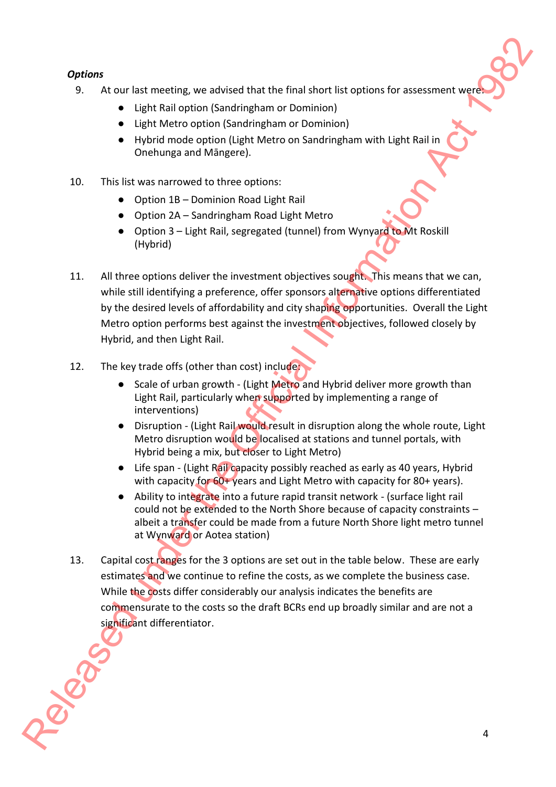## *Options*

- 9. At our last meeting, we advised that the final short list options for assessment were
	- Light Rail option (Sandringham or Dominion)
	- Light Metro option (Sandringham or Dominion)
	- Hybrid mode option (Light Metro on Sandringham with Light Rail in Onehunga and Māngere).
- 10. This list was narrowed to three options:
	- Option 1B Dominion Road Light Rail
	- Option 2A Sandringham Road Light Metro
	- Option 3 Light Rail, segregated (tunnel) from Wynyard to Mt Roskill (Hybrid)
- 11. All three options deliver the investment objectives sought. This means that we can, while still identifying a preference, offer sponsors alternative options differentiated by the desired levels of affordability and city shaping opportunities. Overall the Light Metro option performs best against the investment objectives, followed closely by Hybrid, and then Light Rail. Options<br>
9. At our last meeting, we advised that the final short list options for assessment week<br>
1. Guide Release of the Information of Dominical Information<br>
1. Until Motro outros (Sendingham or Dominical)<br>
1. This lis
	- 12. The key trade offs (other than cost) include:
		- Scale of urban growth (Light Metro and Hybrid deliver more growth than Light Rail, particularly when supported by implementing a range of interventions)
		- Disruption (Light Rail would result in disruption along the whole route, Light Metro disruption would be localised at stations and tunnel portals, with Hybrid being a mix, but closer to Light Metro)
		- Life span (Light Rail capacity possibly reached as early as 40 years, Hybrid with capacity for 60+ years and Light Metro with capacity for 80+ years).
		- Ability to integrate into a future rapid transit network (surface light rail could not be extended to the North Shore because of capacity constraints – albeit a transfer could be made from a future North Shore light metro tunnel at Wynward or Aotea station)
	- 13. Capital cost ranges for the 3 options are set out in the table below. These are early estimates and we continue to refine the costs, as we complete the business case. While the costs differ considerably our analysis indicates the benefits are commensurate to the costs so the draft BCRs end up broadly similar and are not a significant differentiator.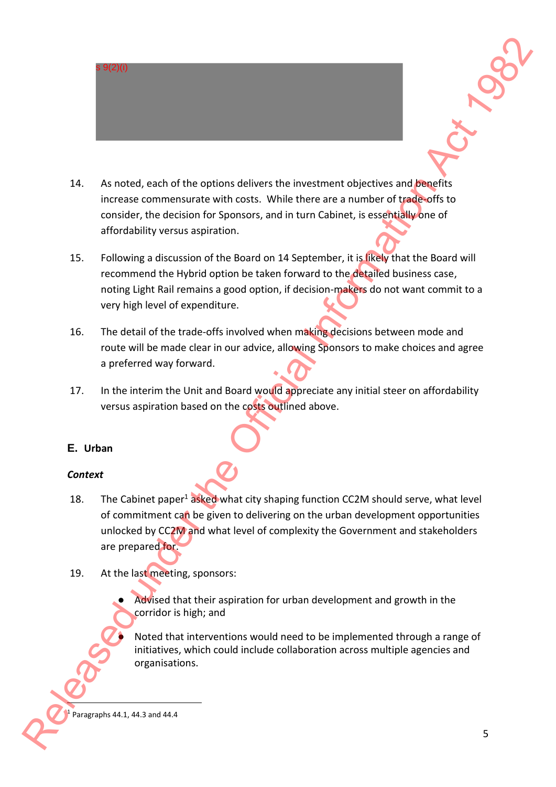

- 14. As noted, each of the options delivers the investment objectives and benefits increase commensurate with costs. While there are a number of trade-offs to consider, the decision for Sponsors, and in turn Cabinet, is essentially one of affordability versus aspiration.
- 15. Following a discussion of the Board on 14 September, it is likely that the Board will recommend the Hybrid option be taken forward to the detailed business case, noting Light Rail remains a good option, if decision-makers do not want commit to a very high level of expenditure.
- 16. The detail of the trade-offs involved when making decisions between mode and route will be made clear in our advice, allowing Sponsors to make choices and agree a preferred way forward.
- 17. In the interim the Unit and Board would appreciate any initial steer on affordability versus aspiration based on the costs outlined above.

# **E. Urban**

## *Context*

- 18. The Cabinet paper<sup>1</sup> asked what city shaping function CC2M should serve, what level of commitment can be given to delivering on the urban development opportunities unlocked by CC2M and what level of complexity the Government and stakeholders are prepared for. 14. As noted, each of increase commercial consider, the decarfordability versus a discurse commend the noting Light Rail very high level of 16. The detail of the route will be made a preferred way 17. In the interim the v Release the Control of the options deliver the investment objectives and planets.<br>
The Control of the Official Information Act 1982 (and the Official Information Act 1982) (and the Official Information Act 1982) (and the
	- 19. At the last meeting, sponsors:
		- Advised that their aspiration for urban development and growth in the corridor is high; and
			- Noted that interventions would need to be implemented through a range of initiatives, which could include collaboration across multiple agencies and organisations.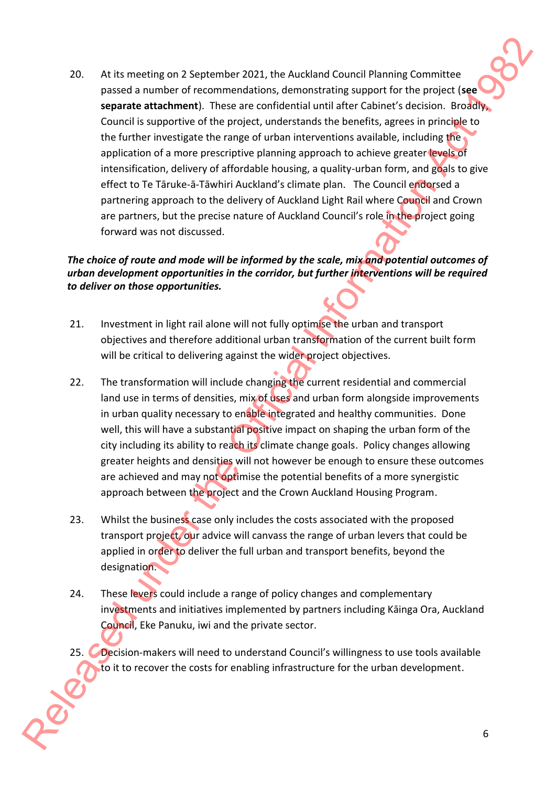20. At its meeting on 2 September 2021, the Auckland Council Planning Committee passed a number of recommendations, demonstrating support for the project (**see**  separate attachment). These are confidential until after Cabinet's decision. Broadly, Council is supportive of the project, understands the benefits, agrees in principle to the further investigate the range of urban interventions available, including the application of a more prescriptive planning approach to achieve greater levels of intensification, delivery of affordable housing, a quality-urban form, and goals to give effect to Te Tāruke-ā-Tāwhiri Auckland's climate plan. The Council endorsed a partnering approach to the delivery of Auckland Light Rail where Council and Crown are partners, but the precise nature of Auckland Council's role in the project going forward was not discussed. 20. At its mechanical 20 set the Official Information Act 1982 (and 1982) and the Official Information Commute Conserved under the Official Information Conserved under the Official Information Council Is approached the Of

## *The choice of route and mode will be informed by the scale, mix and potential outcomes of urban development opportunities in the corridor, but further interventions will be required to deliver on those opportunities.*

- 21. Investment in light rail alone will not fully optimise the urban and transport objectives and therefore additional urban transformation of the current built form will be critical to delivering against the wider project objectives.
- 22. The transformation will include changing the current residential and commercial land use in terms of densities, mix of uses and urban form alongside improvements in urban quality necessary to enable integrated and healthy communities. Done well, this will have a substantial positive impact on shaping the urban form of the city including its ability to reach its climate change goals. Policy changes allowing greater heights and densities will not however be enough to ensure these outcomes are achieved and may not optimise the potential benefits of a more synergistic approach between the project and the Crown Auckland Housing Program.
- 23. Whilst the business case only includes the costs associated with the proposed transport project, our advice will canvass the range of urban levers that could be applied in order to deliver the full urban and transport benefits, beyond the designation.
- 24. These levers could include a range of policy changes and complementary investments and initiatives implemented by partners including Kāinga Ora, Auckland Council, Eke Panuku, iwi and the private sector.
- 25. Decision-makers will need to understand Council's willingness to use tools available to it to recover the costs for enabling infrastructure for the urban development.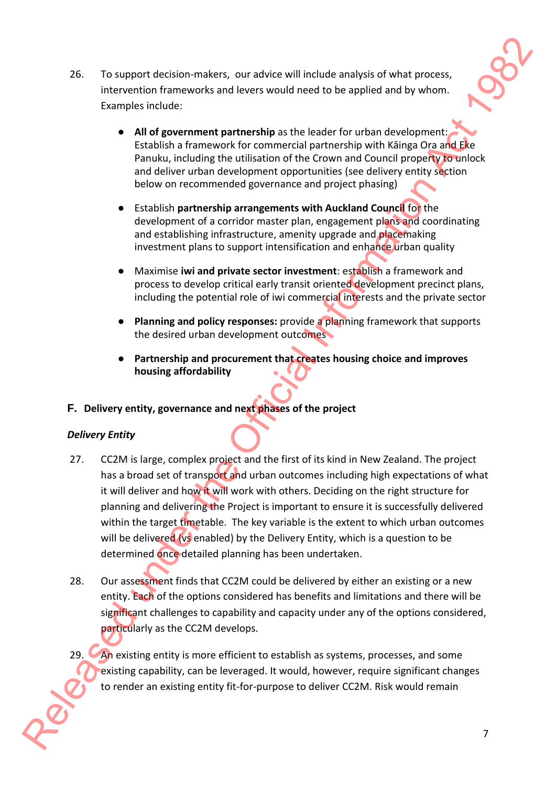

- 26. To support decision-makers, our advice will include analysis of what process, intervention frameworks and levers would need to be applied and by whom. Examples include:
	- **All of government partnership** as the leader for urban development: Establish a framework for commercial partnership with Kāinga Ora and Eke Panuku, including the utilisation of the Crown and Council property to unlock and deliver urban development opportunities (see delivery entity section below on recommended governance and project phasing)
	- Establish **partnership arrangements with Auckland Council** for the development of a corridor master plan, engagement plans and coordinating and establishing infrastructure, amenity upgrade and placemaking investment plans to support intensification and enhance urban quality
	- Maximise **iwi and private sector investment**: establish a framework and process to develop critical early transit oriented development precinct plans, including the potential role of iwi commercial interests and the private sector
	- **Planning and policy responses:** provide a planning framework that supports the desired urban development outcomes
	- **Partnership and procurement that creates housing choice and improves housing affordability**

## **F. Delivery entity, governance and next phases of the project**

## *Delivery Entity*

- 27. CC2M is large, complex project and the first of its kind in New Zealand. The project has a broad set of transport and urban outcomes including high expectations of what it will deliver and how it will work with others. Deciding on the right structure for planning and delivering the Project is important to ensure it is successfully delivered within the target timetable. The key variable is the extent to which urban outcomes will be delivered (vs enabled) by the Delivery Entity, which is a question to be determined once detailed planning has been undertaken. 26. To support dression makers, our adview will include enalysis of what process,<br>
interaction frameworks and levers would need to be applied and by whom.<br>
Complex including the understandent for the loader for under dis
	- 28. Our assessment finds that CC2M could be delivered by either an existing or a new entity. Each of the options considered has benefits and limitations and there will be significant challenges to capability and capacity under any of the options considered, particularly as the CC2M develops.
	- An existing entity is more efficient to establish as systems, processes, and some existing capability, can be leveraged. It would, however, require significant changes to render an existing entity fit-for-purpose to deliver CC2M. Risk would remain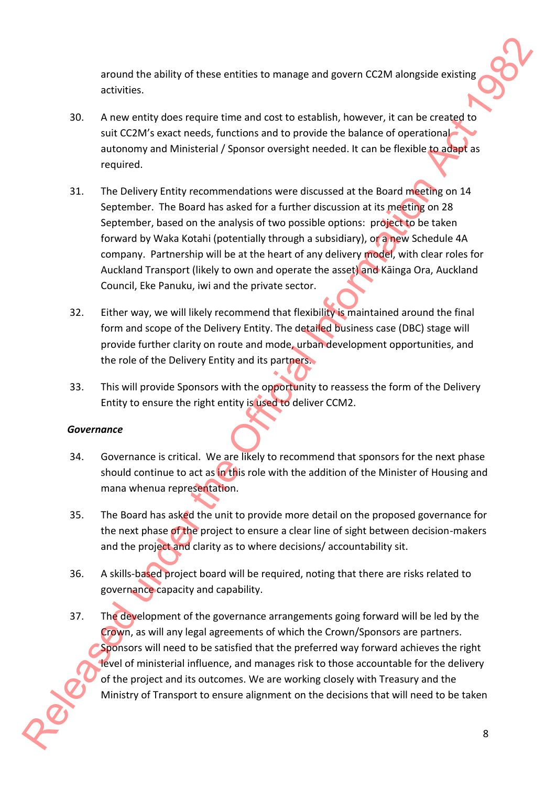around the ability of these entities to manage and govern CC2M alongside existing activities.

- 30. A new entity does require time and cost to establish, however, it can be created to suit CC2M's exact needs, functions and to provide the balance of operational autonomy and Ministerial / Sponsor oversight needed. It can be flexible to adapt as required.
- 31. The Delivery Entity recommendations were discussed at the Board meeting on 14 September. The Board has asked for a further discussion at its meeting on 28 September, based on the analysis of two possible options: project to be taken forward by Waka Kotahi (potentially through a subsidiary), or a new Schedule 4A company. Partnership will be at the heart of any delivery model, with clear roles for Auckland Transport (likely to own and operate the asset) and Kāinga Ora, Auckland Council, Eke Panuku, iwi and the private sector. around the ability of these centries to manage and govern CCIM alongside existing<br>activities.<br>A new entity size require time and cost to establish, however, it can be loweristed ust CCIM alongside costing<br>and the Official
	- 32. Either way, we will likely recommend that flexibility is maintained around the final form and scope of the Delivery Entity. The detailed business case (DBC) stage will provide further clarity on route and mode, urban development opportunities, and the role of the Delivery Entity and its partners.
	- 33. This will provide Sponsors with the opportunity to reassess the form of the Delivery Entity to ensure the right entity is used to deliver CCM2.

### *Governance*

- 34. Governance is critical. We are likely to recommend that sponsors for the next phase should continue to act as in this role with the addition of the Minister of Housing and mana whenua representation.
- 35. The Board has asked the unit to provide more detail on the proposed governance for the next phase of the project to ensure a clear line of sight between decision-makers and the project and clarity as to where decisions/ accountability sit.
- 36. A skills-based project board will be required, noting that there are risks related to governance capacity and capability.
- 37. The development of the governance arrangements going forward will be led by the Crown, as will any legal agreements of which the Crown/Sponsors are partners. Sponsors will need to be satisfied that the preferred way forward achieves the right level of ministerial influence, and manages risk to those accountable for the delivery of the project and its outcomes. We are working closely with Treasury and the Ministry of Transport to ensure alignment on the decisions that will need to be taken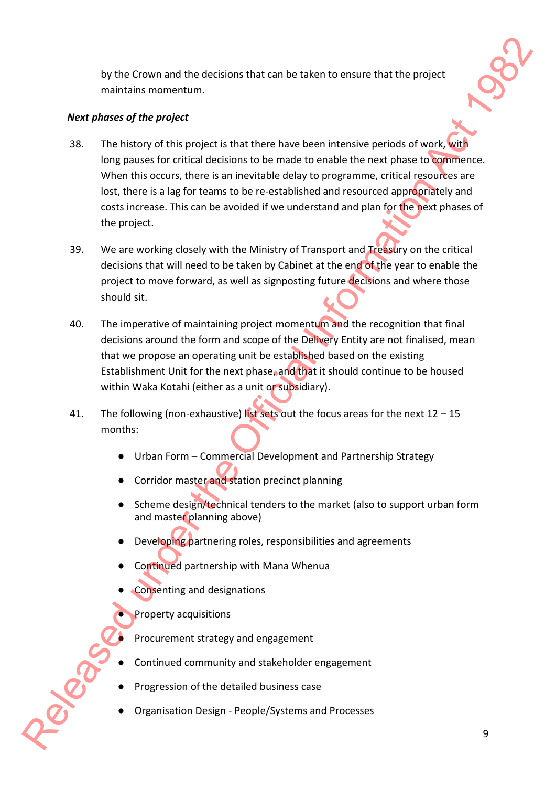by the Crown and the decisions that can be taken to ensure that the project maintains momentum.

## *Next phases of the project*

- 38. The history of this project is that there have been intensive periods of work, with long pauses for critical decisions to be made to enable the next phase to commence. When this occurs, there is an inevitable delay to programme, critical resources are lost, there is a lag for teams to be re-established and resourced appropriately and costs increase. This can be avoided if we understand and plan for the next phases of the project. by the Coown and the decisions that can be taken to ensure that the project<br>
maintains momentum.<br>
Next phases of the project<br>
SR The Most can be project with the three bases become there is even be the set of the Official
	- 39. We are working closely with the Ministry of Transport and Treasury on the critical decisions that will need to be taken by Cabinet at the end of the year to enable the project to move forward, as well as signposting future decisions and where those should sit.
	- 40. The imperative of maintaining project momentum and the recognition that final decisions around the form and scope of the Delivery Entity are not finalised, mean that we propose an operating unit be established based on the existing Establishment Unit for the next phase, and that it should continue to be housed within Waka Kotahi (either as a unit or subsidiary).
	- 41. The following (non-exhaustive) list sets out the focus areas for the next  $12 15$ months:
		- Urban Form Commercial Development and Partnership Strategy
		- Corridor master and station precinct planning
		- Scheme design/technical tenders to the market (also to support urban form and master planning above)
		- Developing partnering roles, responsibilities and agreements
		- Continued partnership with Mana Whenua
		- Consenting and designations
			- Property acquisitions
			- Procurement strategy and engagement
		- **Continued community and stakeholder engagement**
		- Progression of the detailed business case
		- Organisation Design People/Systems and Processes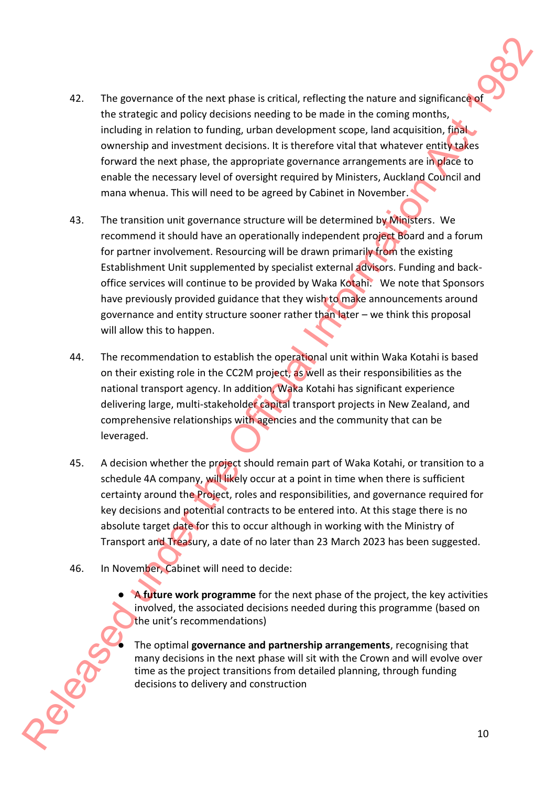- 42. The governance of the next phase is critical, reflecting the nature and significance of the strategic and policy decisions needing to be made in the coming months, including in relation to funding, urban development scope, land acquisition, final ownership and investment decisions. It is therefore vital that whatever entity takes forward the next phase, the appropriate governance arrangements are in place to enable the necessary level of oversight required by Ministers, Auckland Council and mana whenua. This will need to be agreed by Cabinet in November.
- 43. The transition unit governance structure will be determined by Ministers. We recommend it should have an operationally independent project Board and a forum for partner involvement. Resourcing will be drawn primarily from the existing Establishment Unit supplemented by specialist external advisors. Funding and backoffice services will continue to be provided by Waka Kotahi. We note that Sponsors have previously provided guidance that they wish to make announcements around governance and entity structure sooner rather than later – we think this proposal will allow this to happen. The governance of the next base is critical, reflecting the nature and applicance<br>the obstration relation to the content of the content of the content of the content of policies<br>of the observation and the official Informa
	- 44. The recommendation to establish the operational unit within Waka Kotahi is based on their existing role in the CC2M project, as well as their responsibilities as the national transport agency. In addition, Waka Kotahi has significant experience delivering large, multi-stakeholder capital transport projects in New Zealand, and comprehensive relationships with agencies and the community that can be leveraged.
	- 45. A decision whether the project should remain part of Waka Kotahi, or transition to a schedule 4A company, will likely occur at a point in time when there is sufficient certainty around the Project, roles and responsibilities, and governance required for key decisions and potential contracts to be entered into. At this stage there is no absolute target date for this to occur although in working with the Ministry of Transport and Treasury, a date of no later than 23 March 2023 has been suggested.
	- 46. In November, Cabinet will need to decide:

● A **future work programme** for the next phase of the project, the key activities involved, the associated decisions needed during this programme (based on the unit's recommendations)

● The optimal **governance and partnership arrangements**, recognising that many decisions in the next phase will sit with the Crown and will evolve over time as the project transitions from detailed planning, through funding decisions to delivery and construction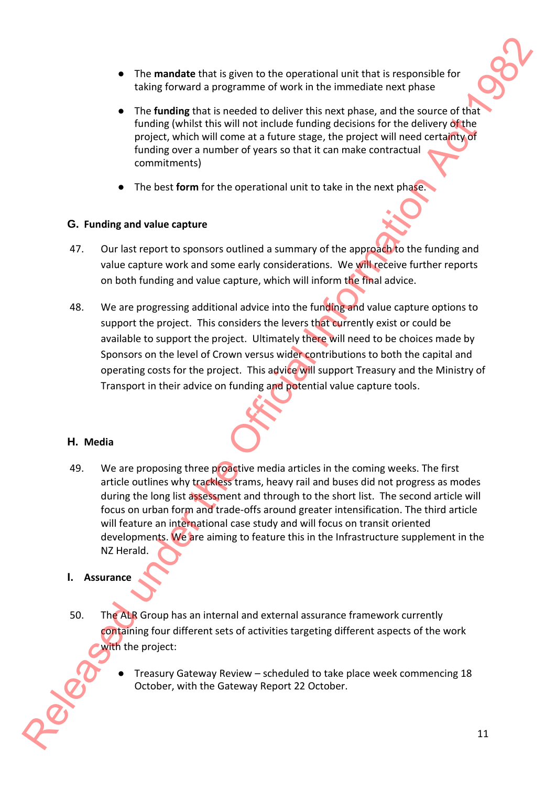- The **mandate** that is given to the operational unit that is responsible for taking forward a programme of work in the immediate next phase
- The **funding** that is needed to deliver this next phase, and the source of that funding (whilst this will not include funding decisions for the delivery of the project, which will come at a future stage, the project will need certainty of funding over a number of years so that it can make contractual commitments)
- The best **form** for the operational unit to take in the next phase.

## **G. Funding and value capture**

- 47. Our last report to sponsors outlined a summary of the approach to the funding and value capture work and some early considerations. We will receive further reports on both funding and value capture, which will inform the final advice.
- 48. We are progressing additional advice into the funding and value capture options to support the project. This considers the levers that currently exist or could be available to support the project. Ultimately there will need to be choices made by Sponsors on the level of Crown versus wider contributions to both the capital and operating costs for the project. This advice will support Treasury and the Ministry of Transport in their advice on funding and potential value capture tools.

## **H. Media**

49. We are proposing three proactive media articles in the coming weeks. The first article outlines why trackless trams, heavy rail and buses did not progress as modes during the long list assessment and through to the short list. The second article will focus on urban form and trade-offs around greater intensification. The third article will feature an international case study and will focus on transit oriented developments. We are aiming to feature this in the Infrastructure supplement in the NZ Herald. For mandate Unit Is given to the operations unit that is responsible for taking forward a programme of work in the intermediate mest phase<br>
in high funding the United States do select this mest phase. The Official Informa

# **I. Assurance**

- 50. The ALR Group has an internal and external assurance framework currently containing four different sets of activities targeting different aspects of the work with the project:
	- Treasury Gateway Review scheduled to take place week commencing 18 October, with the Gateway Report 22 October.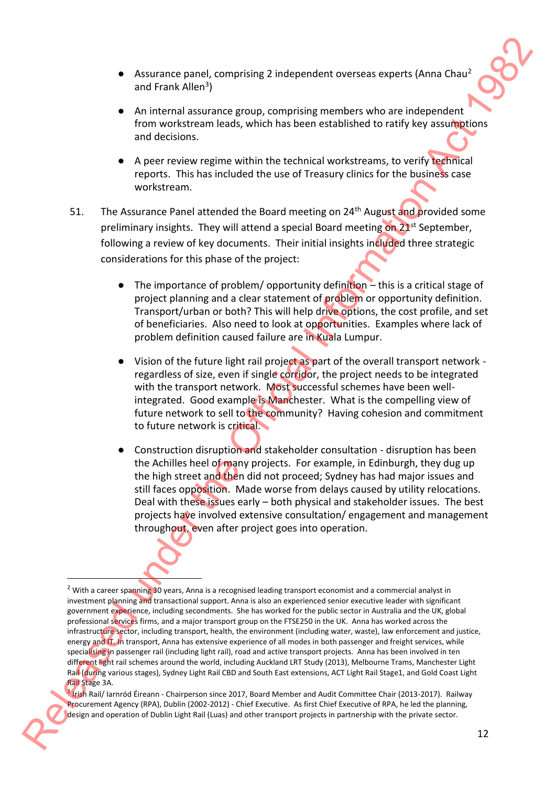- Assurance panel, comprising 2 independent overseas experts (Anna Chau<sup>2</sup> and Frank Allen<sup>3</sup>)
- An internal assurance group, comprising members who are independent from workstream leads, which has been established to ratify key assumptions and decisions.
- A peer review regime within the technical workstreams, to verify technical reports. This has included the use of Treasury clinics for the business case workstream.
- 51. The Assurance Panel attended the Board meeting on 24<sup>th</sup> August and provided some preliminary insights. They will attend a special Board meeting on 21<sup>st</sup> September, following a review of key documents. Their initial insights included three strategic considerations for this phase of the project:
	- $\bullet$  The importance of problem/ opportunity definition this is a critical stage of project planning and a clear statement of problem or opportunity definition. Transport/urban or both? This will help drive options, the cost profile, and set of beneficiaries. Also need to look at opportunities. Examples where lack of problem definition caused failure are in Kuala Lumpur.
	- Vision of the future light rail project as part of the overall transport network regardless of size, even if single corridor, the project needs to be integrated with the transport network. Most successful schemes have been wellintegrated. Good example is Manchester. What is the compelling view of future network to sell to the community? Having cohesion and commitment to future network is critical.
	- Construction disruption and stakeholder consultation disruption has been the Achilles heel of many projects. For example, in Edinburgh, they dug up the high street and then did not proceed; Sydney has had major issues and still faces opposition. Made worse from delays caused by utility relocations. Deal with these issues early – both physical and stakeholder issues. The best projects have involved extensive consultation/ engagement and management throughout, even after project goes into operation.

<sup>&</sup>lt;sup>2</sup> With a career spanning 30 years, Anna is a recognised leading transport economist and a commercial analyst in investment planning and transactional support. Anna is also an experienced senior executive leader with significant government experience, including secondments. She has worked for the public sector in Australia and the UK, global professional services firms, and a major transport group on the FTSE250 in the UK. Anna has worked across the infrastructure sector, including transport, health, the environment (including water, waste), law enforcement and justice, energy and IT. In transport, Anna has extensive experience of all modes in both passenger and freight services, while specialising in passenger rail (including light rail), road and active transport projects. Anna has been involved in ten different light rail schemes around the world, including Auckland LRT Study (2013), Melbourne Trams, Manchester Light Rail (during various stages), Sydney Light Rail CBD and South East extensions, ACT Light Rail Stage1, and Gold Coast Light Rail Stage 3A. Release the control of the process control of the process control of the process control of the process control of the process control of the process control of the process control of the Christmas Control of the Christma

<sup>&</sup>lt;sup>3</sup> Irish Rail/ Iarnród Éireann - Chairperson since 2017, Board Member and Audit Committee Chair (2013-2017). Railway Procurement Agency (RPA), Dublin (2002-2012) - Chief Executive. As first Chief Executive of RPA, he led the planning, design and operation of Dublin Light Rail (Luas) and other transport projects in partnership with the private sector.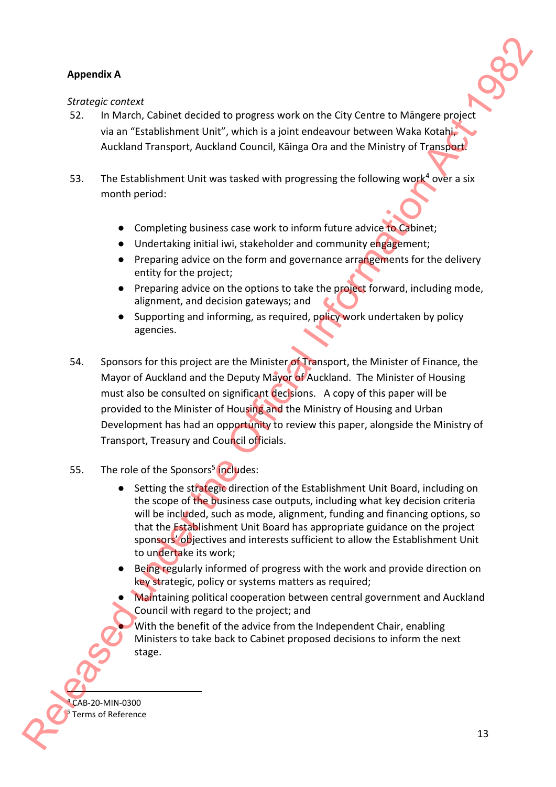# **Appendix A**

### *Strategic context*

- 52. In March, Cabinet decided to progress work on the City Centre to Māngere project via an "Establishment Unit", which is a joint endeavour between Waka Kotahi, Auckland Transport, Auckland Council, Kāinga Ora and the Ministry of Transport.
- 53. The Establishment Unit was tasked with progressing the following work<sup>4</sup> over a six month period:
	- Completing business case work to inform future advice to Cabinet;
	- Undertaking initial iwi, stakeholder and community engagement;
	- Preparing advice on the form and governance arrangements for the delivery entity for the project;
	- Preparing advice on the options to take the project forward, including mode, alignment, and decision gateways; and
	- Supporting and informing, as required, policy work undertaken by policy agencies.
- 54. Sponsors for this project are the Minister of Transport, the Minister of Finance, the Mayor of Auckland and the Deputy Mayor of Auckland. The Minister of Housing must also be consulted on significant decisions. A copy of this paper will be provided to the Minister of Housing and the Ministry of Housing and Urban Development has had an opportunity to review this paper, alongside the Ministry of Transport, Treasury and Council officials. Rependix A<br>
Strongs): contact<br>
So. In Morot, Cablinet decided to progress work on the City Center to Miniter engines<br>
value in the City Center of Minitial Information Act 1982 Act 1982 Act 1982<br>
Activity Transport, Activit
	- 55. The role of the Sponsors<sup>5</sup> includes:
		- Setting the strategic direction of the Establishment Unit Board, including on the scope of the business case outputs, including what key decision criteria will be included, such as mode, alignment, funding and financing options, so that the Establishment Unit Board has appropriate guidance on the project sponsors' objectives and interests sufficient to allow the Establishment Unit to undertake its work;
		- Being regularly informed of progress with the work and provide direction on key strategic, policy or systems matters as required;
		- Maintaining political cooperation between central government and Auckland Council with regard to the project; and

With the benefit of the advice from the Independent Chair, enabling Ministers to take back to Cabinet proposed decisions to inform the next stage.

CAB-20-MIN-0300 <sup>5</sup> Terms of Reference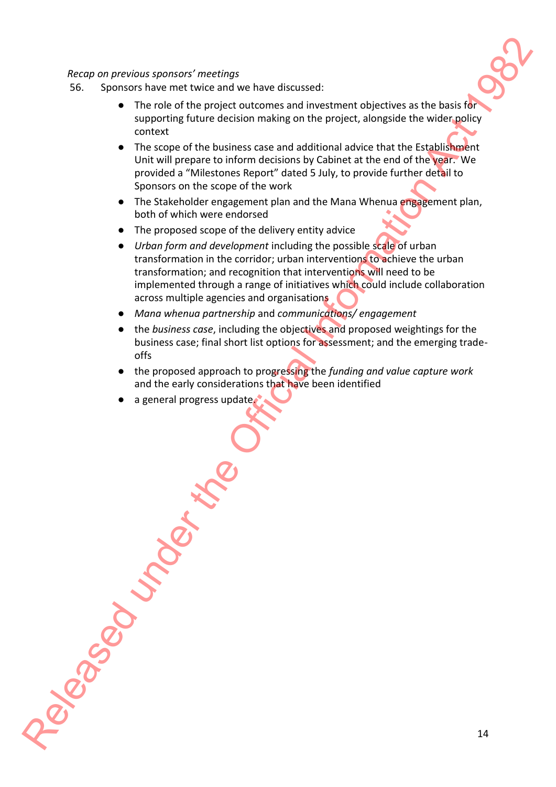### *Recap on previous sponsors' meetings*

- 56. Sponsors have met twice and we have discussed:
	- The role of the project outcomes and investment objectives as the basis for supporting future decision making on the project, alongside the wider policy context
	- The scope of the business case and additional advice that the Establishment Unit will prepare to inform decisions by Cabinet at the end of the year. We provided a "Milestones Report" dated 5 July, to provide further detail to Sponsors on the scope of the work
	- The Stakeholder engagement plan and the Mana Whenua engagement plan, both of which were endorsed
	- The proposed scope of the delivery entity advice
- *Urban form and development* including the possible scale of urban transformation in the corridor; urban interventions to achieve the urban transformation; and recognition that interventions will need to be implemented through a range of initiatives which could include collaboration across multiple agencies and organisations Recay on previous sponsors' meetings<br>
So sponsors have met twice and two have discussed.<br>
The role of the project cost conservate and investigate the place of the project cost in the particular computer of the Official Inf
	- *Mana whenua partnership* and *communications/ engagement*
	- the *business case*, including the objectives and proposed weightings for the business case; final short list options for assessment; and the emerging tradeoffs
	- the proposed approach to progressing the *funding and value capture work* and the early considerations that have been identified
	- a general progress update.

14